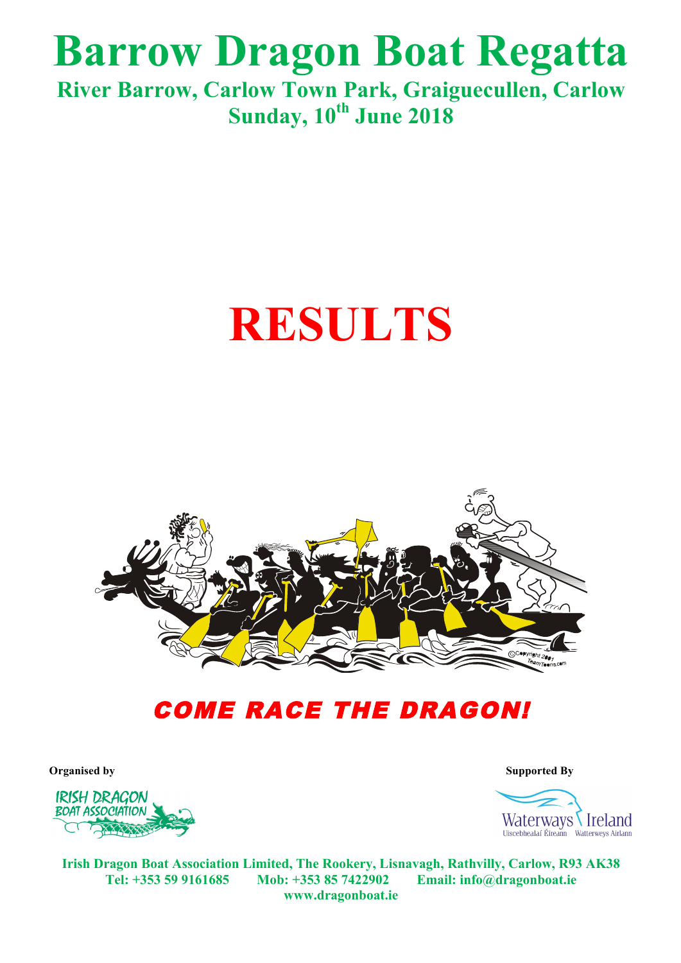## **Barrow Dragon Boat Regatta**

**River Barrow, Carlow Town Park, Graiguecullen, Carlow Sunday, 10th June 2018**

# **RESULTS**



### COME RACE THE DRAGON!



**Organised by Supported By Supported By** 



**Irish Dragon Boat Association Limited, The Rookery, Lisnavagh, Rathvilly, Carlow, R93 AK38 Tel: +353 59 9161685 Mob: +353 85 7422902 Email: info@dragonboat.ie www.dragonboat.ie**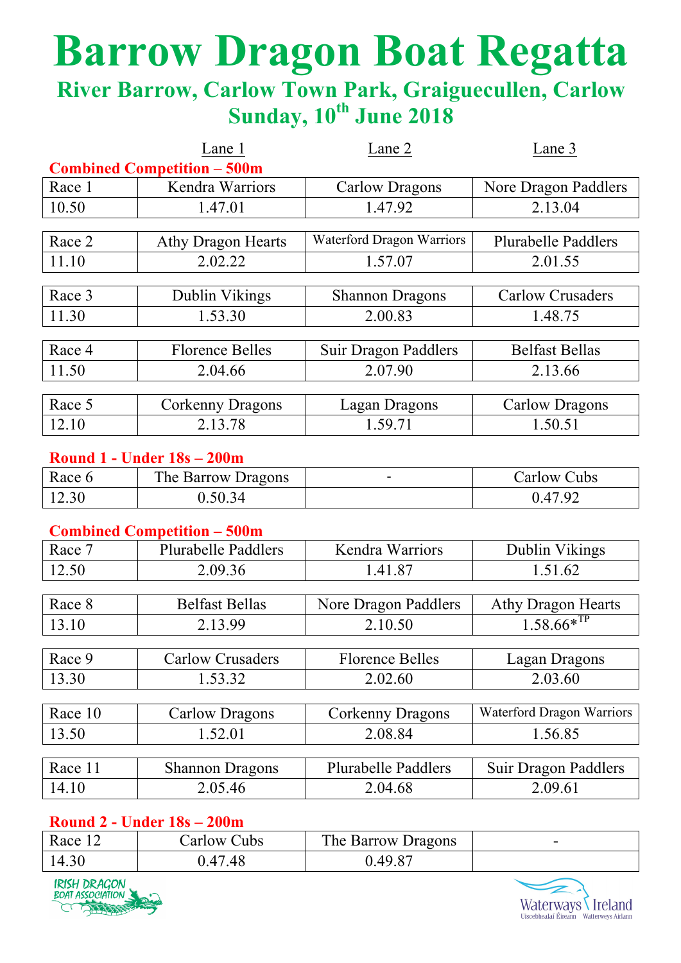# **Barrow Dragon Boat Regatta**

### **River Barrow, Carlow Town Park, Graiguecullen, Carlow Sunday, 10th June 2018**

|         | Lane 1                             | Lane 2                      | Lane 3                     |
|---------|------------------------------------|-----------------------------|----------------------------|
|         | <b>Combined Competition - 500m</b> |                             |                            |
| Race 1  | Kendra Warriors                    | <b>Carlow Dragons</b>       | Nore Dragon Paddlers       |
| 10.50   | 1.47.01                            | 1.47.92                     | 2.13.04                    |
|         |                                    |                             |                            |
| Race 2  | <b>Athy Dragon Hearts</b>          | Waterford Dragon Warriors   | <b>Plurabelle Paddlers</b> |
| 11.10   | 2.02.22                            | 1.57.07                     | 2.01.55                    |
|         |                                    |                             |                            |
| Race 3  | Dublin Vikings                     | <b>Shannon Dragons</b>      | <b>Carlow Crusaders</b>    |
| 11.30   | 1.53.30                            | 2.00.83                     | 1.48.75                    |
| Race 4  | <b>Florence Belles</b>             | <b>Suir Dragon Paddlers</b> | <b>Belfast Bellas</b>      |
| 11.50   | 2.04.66                            | 2.07.90                     | 2.13.66                    |
|         |                                    |                             |                            |
| Race 5  | Corkenny Dragons                   | <b>Lagan Dragons</b>        | <b>Carlow Dragons</b>      |
| 12.10   | 2.13.78                            | 1.59.71                     | 1.50.51                    |
|         | <b>Round 1 - Under 18s - 200m</b>  |                             |                            |
|         |                                    |                             |                            |
| Race 6  | The Barrow Dragons                 | $\blacksquare$              | <b>Carlow Cubs</b>         |
| 12.30   | 0.50.34                            |                             | 0.47.92                    |
|         | <b>Combined Competition - 500m</b> |                             |                            |
| Race 7  | Plurabelle Paddlers                | Kendra Warriors             | Dublin Vikings             |
| 12.50   | 2.09.36                            | 1.41.87                     | 1.51.62                    |
|         |                                    |                             |                            |
| Race 8  | <b>Belfast Bellas</b>              | Nore Dragon Paddlers        | <b>Athy Dragon Hearts</b>  |
| 13.10   | 2.13.99                            | 2.10.50                     | $1.58.66*^{TP}$            |
|         |                                    |                             |                            |
| Race 9  | <b>Carlow Crusaders</b>            | <b>Florence Belles</b>      | <b>Lagan Dragons</b>       |
| 13.30   | 1.53.32                            | 2.02.60                     | 2.03.60                    |
|         |                                    |                             |                            |
| Race 10 | <b>Carlow Dragons</b>              | Corkenny Dragons            | Waterford Dragon Warriors  |
| 13.50   | 1.52.01                            | 2.08.84                     | 1.56.85                    |
|         |                                    |                             |                            |
| Race 11 | <b>Shannon Dragons</b>             | <b>Plurabelle Paddlers</b>  | Suir Dragon Paddlers       |
| 14.10   | 2.05.46                            | 2.04.68                     | 2.09.61                    |

#### **Round 2 - Under 18s – 200m**

| Race  | Carlow Cubs | The Barrow Dragons | - |
|-------|-------------|--------------------|---|
| 14.30 | 0.47.48     | .49.87             |   |



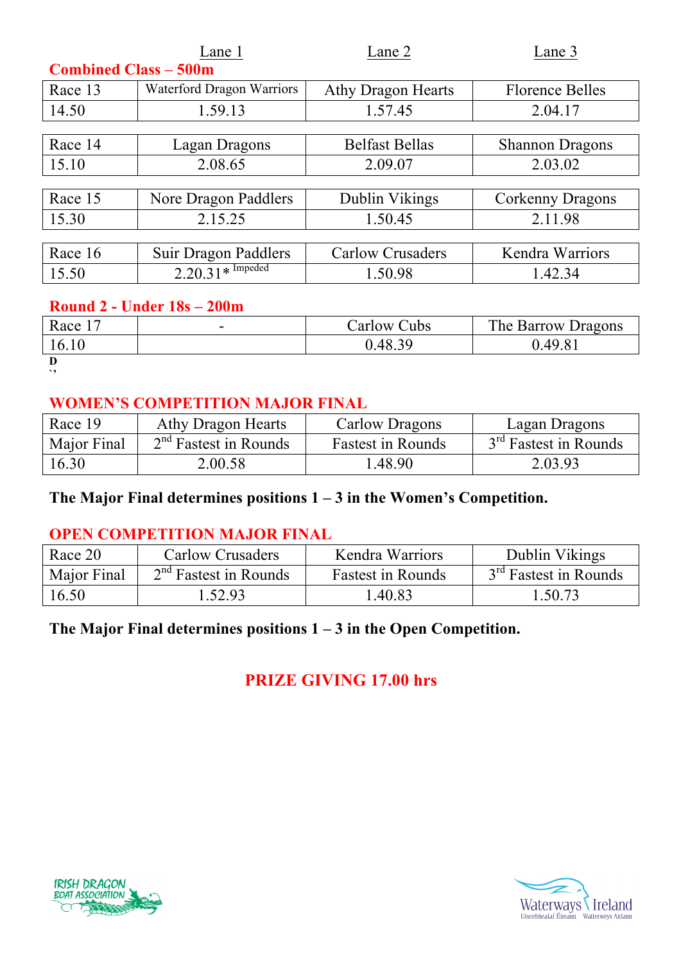| Lane 1                           | Lane 2                    | Lane 3                 |  |
|----------------------------------|---------------------------|------------------------|--|
| <b>Combined Class - 500m</b>     |                           |                        |  |
| <b>Waterford Dragon Warriors</b> | <b>Athy Dragon Hearts</b> | <b>Florence Belles</b> |  |
| 1.59.13                          | 1.57.45                   | 2.04.17                |  |
|                                  |                           |                        |  |
| Lagan Dragons                    | <b>Belfast Bellas</b>     | <b>Shannon Dragons</b> |  |
| 2.08.65                          | 2.09.07                   | 2.03.02                |  |
|                                  |                           |                        |  |
| Nore Dragon Paddlers             | Dublin Vikings            | Corkenny Dragons       |  |
| 2.15.25                          | 1.50.45                   | 2.11.98                |  |
|                                  |                           |                        |  |
| Suir Dragon Paddlers             | <b>Carlow Crusaders</b>   | Kendra Warriors        |  |
|                                  | 1.50.98                   | 1.42.34                |  |
|                                  | $2.20.31*$ Impeded        |                        |  |

#### **Round 2 - Under 18s – 200m**

| Race  | $\overline{\phantom{a}}$ | $\alpha$ carlow $\alpha$<br>Cubs | The Barrow Dragons |
|-------|--------------------------|----------------------------------|--------------------|
| 16.10 |                          | 0.48.39                          | 0.49.81            |
| n     |                          |                                  |                    |

**D `'**

#### **WOMEN'S COMPETITION MAJOR FINAL**

| Race 19     | Athy Dragon Hearts      | Carlow Dragons           | Lagan Dragons                     |
|-------------|-------------------------|--------------------------|-----------------------------------|
| Major Final | $2nd$ Fastest in Rounds | <b>Fastest in Rounds</b> | 3 <sup>rd</sup> Fastest in Rounds |
| 16.30       | 2.00.58                 | 1.48.90                  | 2.03.93                           |

#### **The Major Final determines positions 1 – 3 in the Women's Competition.**

#### **OPEN COMPETITION MAJOR FINAL**

| Race 20     | Carlow Crusaders        | <b>Kendra Warriors</b>   | Dublin Vikings                    |
|-------------|-------------------------|--------------------------|-----------------------------------|
| Major Final | $2nd$ Fastest in Rounds | <b>Fastest in Rounds</b> | 3 <sup>rd</sup> Fastest in Rounds |
| 16.50       | 1.52.93                 | .40.83                   | 1.50.73                           |

#### **The Major Final determines positions 1 – 3 in the Open Competition.**

#### **PRIZE GIVING 17.00 hrs**